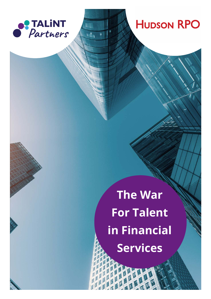

### **HUDSON RPO**

# **The War For Talent in Financial Services**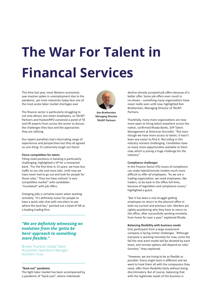## **The War For Talent in Financal Services**

This time last year, most Western economies saw massive spikes in unemployment due to the pandemic, yet most industries today face one of the most acute labor market shortages ever

The finance sector is particularly struggling to not only attract, but retain employees, so TALiNT Partners and HudsonRPO convened a panel of TA and HR experts from across the sector to discuss the challenges they face and the approaches they are utilizing.

Our expert panellists had a fascinating range of experiences and perspectives but they all agreed on one thing: It's extremely tough out there!

#### **Fierce competition for talent**

Filling retail positions in banking is particularly challenging, highlighted a VP for a renowned bank. "For the first time in 15 years, we have less traffic to our site and more jobs. Until now we have never had to go out and look for people for those roles." They too have noticed "a very competitive market" with candidates "inundated" with job offers.

Changing jobs is certainly easier when working remotely. "It's definitely easier for people to have a quick side chat with recruiters to see where the land lies," pointed out a head of HR at a leading trading firm.

*"We are definitely witnessing an evolution from the 'gotta be here' approach to something more flexible."*

Brooks Thurston, Global Talent Acquisition Operations Manager, Northern Trust

#### **"Back-out" pandemic**

The tight labor market has been accompanied by a pandemic of "back-outs", where individuals



**Ken Brotherston Managing Director TALiNT Partners**

decline already accepted job offers because of a better offer. Some job offers even result in no-shows – something many organizations have never really seen until now, highlighted Ken Brotherston, Managing Director of TALiNT Partners.

Thankfully, many more organizations are now more open to hiring talent anywhere across the nation, confirmed Rhoda Banks, SVP Talent Management at American Accredits. "But even though we have more access to talent, it hasn't been any easier to find it. Recruiting in this industry remains challenging. Candidates have so many more opportunities available to them now, which is posing a huge challenge for the industry."

#### **Compliance challenges**

In the Finance Sector (FS) issues of compliance can make hybrid/remote models much more difficult to offer all employees. "As we are a trading organization, we need employees, like traders, to be back in the office full-time, because of legislation and compliance issues," highlighted a guest.

"But it has been a real struggle getting employees to return to the physical office in both my current and previous role. Workers are rightly questioning why they have to return to the office, after successfully working remotely from home for over a year," explained Rhoda.

#### **Balancing flexibility with business needs**

One participant from a large investment company is facing similar challenges. "Although everyone is working remotely for now, come the fall the new work model will be dictated by each team, and remote options will depend on role/ function," they explained.

"However, we are trying to be as flexible as possible. Every single team is different and we want to treat them all with the compassion they need, offer them flexibility fairly without being discriminatory. But of course, balancing that with the legitimate needs of the business is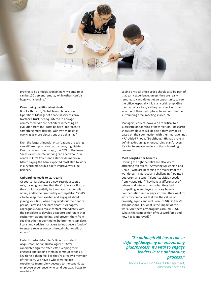

proving to be difficult. Explaining why some roles can be 100 percent remote, while others can't is hugely challenging."

#### **Overcoming traditional mindsets**

Brooks Thurston, Global Talent Acquisition Operations Manager of financial services firm Northern Trust, headquartered in Chicago, commented "We are definitely witnessing an evolution from the 'gotta be here' approach to something more flexible. Our own mindset is evolving as more discussions are being had."

Even the largest financial organizations are taking very different positions on the issue, highlighted Ken. Just a few months ago, the CEO of Goldman Sachs called remote working "an aberration." In contrast, Citi's Chief sent a staff-wide memo in March saying the bank expected most staff to work in a hybrid model in a bid to improve work-life balance.

#### **Onboarding needs to start early**

Of course, just because a new recruit accepts a role, it's no guarantee that they'll join your firm, as they could potentially be inundated by multiple offers, and/or be poached by a competitor. "So it's vital to keep them excited and engaged about joining your firm, while they work out their notice period," advised one participant. "Managers/ colleagues should make contact immediately with the candidate to develop a rapport and retain that excitement about joining, and prevent them from seeking other appointments before their start date. I constantly advise managers to introduce a 'buddy' to ensure regular contact through phone calls or emails."

Fintech startup MotoRefi's Director – Talent Acquisition, Adrian Russo, agreed: "After candidates sign the offer letter, keeping them engaged and looping them in communications is key to help them feel like they're already a member of the team. We have a whole workplace experience team solely devoted to the candidate/ employee experience, who send out swag boxes to new hires."

Seeing physical office space should also be part of that early experience, unless they are really remote, so candidates get an opportunity to see the office, especially if it is a hybrid setup. Give them an office tour, so they can check out the location of their desk, places to eat lunch in the surrounding area, meeting spaces, etc.

Managers/leaders, however, are critical to a successful onboarding of new recruits. "Research shows employees will decide if they stay or go based on their connection with their manager, not HR," added Rhoda. "So although HR has a role in defining/designing an onboarding plan/process, it's vital to engage leaders in the onboarding process."

#### **Most sought-after benefits**

Offering the right benefits are also key to attracting top talent. "Attracting Millennials and Gen Z – who are becoming the majority of the workforce – is particularly challenging," pointed out Jeremiah Stone, Talent Acquisition Leader from Macquarie. "They have a different set of drivers and interests, and what they find compelling in employers can vary hugely. Compensation isn't always a driver. They want to work for companies that live the values of diversity, equity and inclusion (DE&I). So they'll ask questions like, what is the impact of this work? Are there any programs around DE&I? What's the composition of your workforce and how has it improved?"

*"So although HR has a role in defining/designing an onboarding plan/process, it's vital to engage leaders in the onboarding process."* 

Rhoda Banks, SVP Talent Management, American Accredits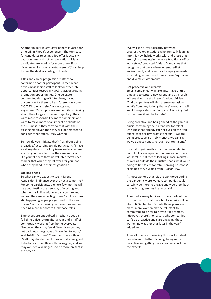Another hugely sought-after benefit is vacation/ time off. In Rhoda's experience, "The top reason for candidates rejecting a job offer is actually vacation time and not compensation. "Many candidates are looking for more time off so giving new hires, say an extra week off," can help to seal the deal, according to Rhoda.

Titles and career progression matter too, confirmed another participant. In fact, what drives most senior staff to look for other job opportunities (especially VPs) is lack of growth/ promotion opportunities. One delegate commented during exit interviews, it's not uncommon for them to hear, 'there's only one CIO/CFO role, and she/he is not going anywhere'. "So employees are definitely thinking about their long-term career trajectory. They want more responsibility, more ownership and want to make more of an impact on clients or the business. If they can't do that with their existing employer, then they will be tempted to consider other offers," they warned.

So how do you mitigate that? "It's about being proactive," according to said participant. "I have a call regularly with all my team leaders, where I ask: Do your people know they are important? Did you tell them they are valuable? Staff need to hear that while they still work for you; not when they hand in their resignation."

#### **Looking ahead**

So what can we expect to see in Talent Acquisition in finance over the next six months? For some participants, the next few months will be about testing the new way of working and whether it's in line with company culture and values. They are expecting to see "a lot of churn still happening as people get used to the new normal" and are banking on more turnover and needing more support to fulfil those roles.

Employees are undoubtedly hesitant about a full-time office return after a year and a half of comfortably working from home everyday. "However, they may feel differently once they get back into the groove of travelling to work," said TALiNT Partners' Consultant Tracey Klein. "Staff may decide that it does actually feel good to be back at the office with colleagues, and we may well see a willingness to be more present in the office."

 We will see a "vast disparity between progressive organizations who are really leaning into this new hybrid work-style, and those that are trying to maintain the more traditional office work style," predicted Adrian. Companies that recognize that we are in new remote-first environment, and cater for all employee needs – including women – will see a more "equitable and diverse environment."

#### **Get proactive and creative**

Smart companies "will take advantage of this time and to capture new talent, and as a result will see diversity at all levels", added Adrian. "And competitors will find themselves asking what's Company A doing that we're not; and will want to replicate what Company A is doing. But by that time it will be too late."

Being proactive and being ahead of the game is crucial to winning the current war for talent. One guest has already got her eyes on the 'top talent' that her firm wants to retain. "We are being proactive, so in six months, we can say we've done x,y and z to retain our top talent."

It's vital to get creative to attract new talented recruits. For example, look where you normally wouldn't. "That means looking in local markets, as well as outside the industry. That's what we're doing to find talent for retail banking positions," explained Steve Wajda from HudsonRPO.

As most workers that left the workforce during the pandemic were women, companies could certainly do more to engage and woo them back through programmes like returnships.

Admittedly, many families in many parts of the US don't know what the school scenario will be like until September. So until those plans are in place, many women may be reluctant to committing to a new role even if it's remote. "However, there's no reason, why companies can't be proactive and start engaging these women now, rather than later in the year," added Ken.

After all, the key to winning this war for talent boils down to better planning, being more proactive and getting more creative, concluded the experts.